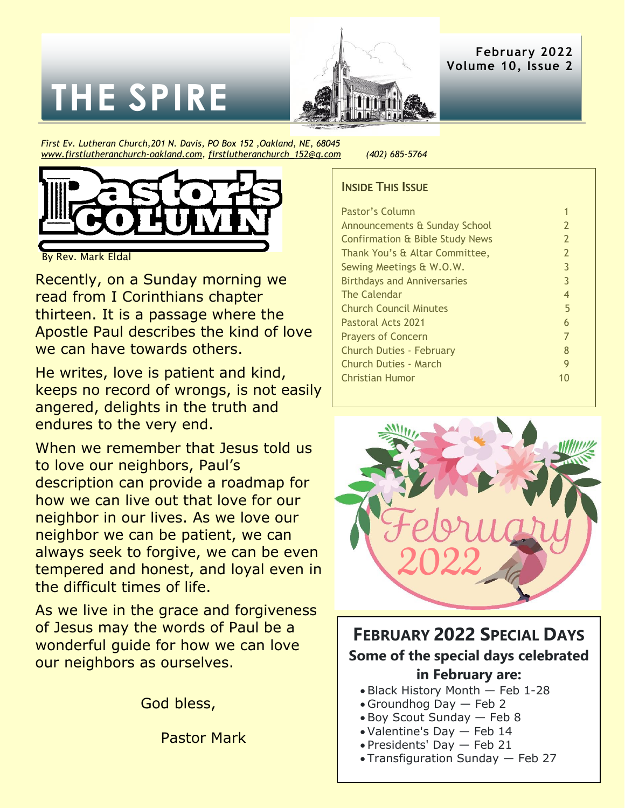# **THE SPIRE**



**February 2022 Volume 10, Issue 2**

*First Ev. Lutheran Church,201 N. Davis, PO Box 152 ,Oakland, NE, 68045 [www.firstlutheranchurch-oakland.com,](http://www.firstlutheranchurch-oakland.com/) [firstlutheranchurch\\_152@q.com](mailto:firstlutheranchurch_152@q.com) (402) 685-5764*



By Rev. Mark Eldal

Recently, on a Sunday morning we read from I Corinthians chapter thirteen. It is a passage where the Apostle Paul describes the kind of love we can have towards others.

He writes, love is patient and kind, keeps no record of wrongs, is not easily angered, delights in the truth and endures to the very end.

When we remember that Jesus told us to love our neighbors, Paul's description can provide a roadmap for how we can live out that love for our neighbor in our lives. As we love our neighbor we can be patient, we can always seek to forgive, we can be even tempered and honest, and loyal even in the difficult times of life.

As we live in the grace and forgiveness of Jesus may the words of Paul be a wonderful guide for how we can love our neighbors as ourselves.

God bless,

Pastor Mark

#### **INSIDE THIS ISSUE**

| Pastor's Column                            |                |
|--------------------------------------------|----------------|
| Announcements & Sunday School              | $\overline{2}$ |
| <b>Confirmation &amp; Bible Study News</b> | $\overline{2}$ |
| Thank You's & Altar Committee,             | $\overline{2}$ |
| Sewing Meetings & W.O.W.                   | 3              |
| <b>Birthdays and Anniversaries</b>         | 3              |
| <b>The Calendar</b>                        | 4              |
| <b>Church Council Minutes</b>              | 5              |
| Pastoral Acts 2021                         | 6              |
| <b>Prayers of Concern</b>                  | 7              |
| Church Duties - February                   | 8              |
| <b>Church Duties - March</b>               | 9              |
| <b>Christian Humor</b>                     | 10             |
|                                            |                |



### **FEBRUARY 2022 SPECIAL DAYS Some of the special days celebrated in February are:**

- Black History Month Feb 1-28
- Groundhog Day Feb 2
- Boy Scout Sunday Feb 8
- Valentine's Day Feb 14
- Presidents' Day Feb 21
- Transfiguration Sunday Feb 27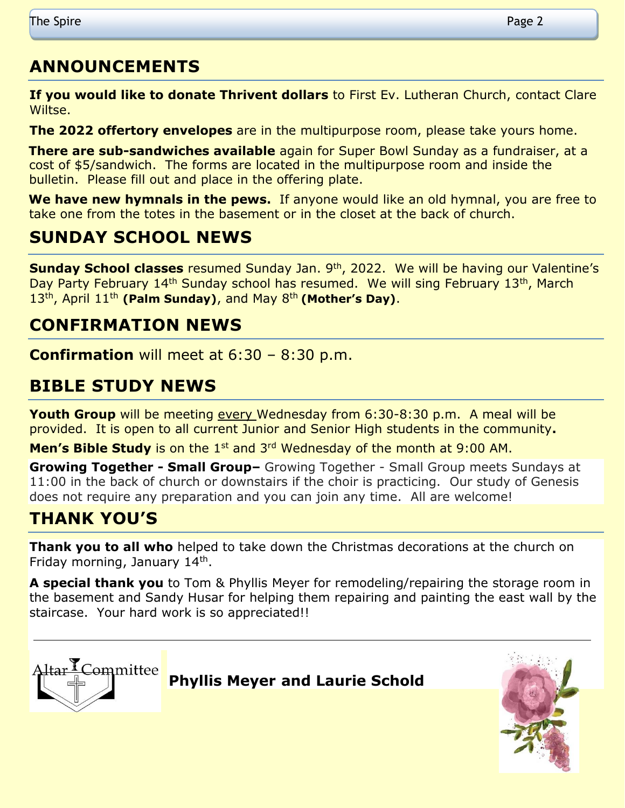## **ANNOUNCEMENTS**

**If you would like to donate Thrivent dollars** to First Ev. Lutheran Church, contact Clare Wiltse.

**The 2022 offertory envelopes** are in the multipurpose room, please take yours home.

**There are sub-sandwiches available** again for Super Bowl Sunday as a fundraiser, at a cost of \$5/sandwich. The forms are located in the multipurpose room and inside the bulletin. Please fill out and place in the offering plate.

**We have new hymnals in the pews.** If anyone would like an old hymnal, you are free to take one from the totes in the basement or in the closet at the back of church.

## **SUNDAY SCHOOL NEWS**

**Sunday School classes** resumed Sunday Jan. 9<sup>th</sup>, 2022. We will be having our Valentine's Day Party February 14<sup>th</sup> Sunday school has resumed. We will sing February 13<sup>th</sup>, March 13th, April 11th **(Palm Sunday)**, and May 8th **(Mother's Day)**.

## **CONFIRMATION NEWS**

**Confirmation** will meet at 6:30 – 8:30 p.m.

## **BIBLE STUDY NEWS**

**Youth Group** will be meeting every Wednesday from 6:30-8:30 p.m. A meal will be provided. It is open to all current Junior and Senior High students in the community**.**

**Men's Bible Study** is on the 1<sup>st</sup> and 3<sup>rd</sup> Wednesday of the month at 9:00 AM.

**Growing Together - Small Group–** Growing Together - Small Group meets Sundays at 11:00 in the back of church or downstairs if the choir is practicing. Our study of Genesis does not require any preparation and you can join any time. All are welcome!

## **THANK YOU'S**

**Thank you to all who** helped to take down the Christmas decorations at the church on Friday morning, January 14<sup>th</sup>.

**A special thank you** to Tom & Phyllis Meyer for remodeling/repairing the storage room in the basement and Sandy Husar for helping them repairing and painting the east wall by the staircase. Your hard work is so appreciated!!

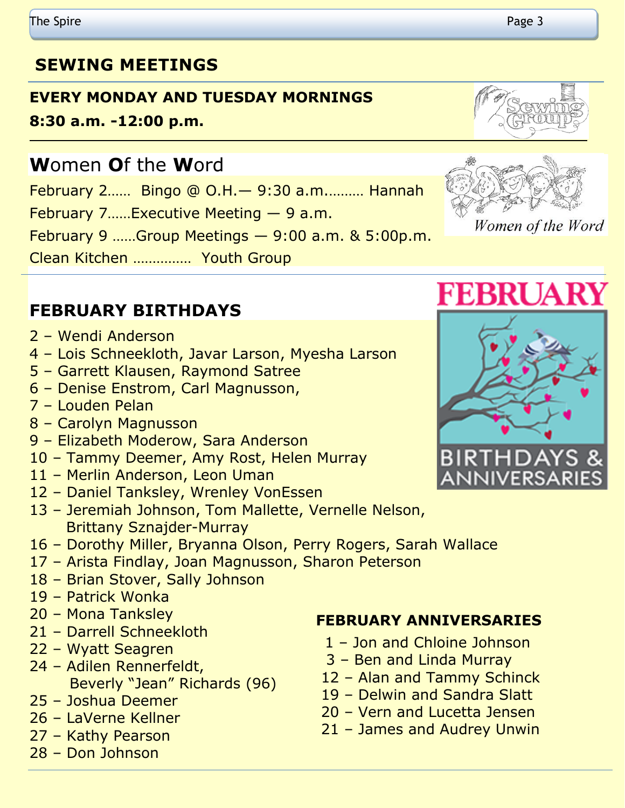## **SEWING MEETINGS**

## **EVERY MONDAY AND TUESDAY MORNINGS**

**8:30 a.m. -12:00 p.m.** 

## **W**omen **O**f the **W**ord

February 2…… Bingo @ O.H.— 9:30 a.m.……… Hannah

February 7……Executive Meeting — 9 a.m.

February 9 ……Group Meetings — 9:00 a.m. & 5:00p.m.

Clean Kitchen …………… Youth Group

## **FEBRUARY BIRTHDAYS**

- Wendi Anderson
- Lois Schneekloth, Javar Larson, Myesha Larson
- Garrett Klausen, Raymond Satree
- Denise Enstrom, Carl Magnusson,
- Louden Pelan
- Carolyn Magnusson
- Elizabeth Moderow, Sara Anderson
- Tammy Deemer, Amy Rost, Helen Murray
- Merlin Anderson, Leon Uman
- Daniel Tanksley, Wrenley VonEssen
- Jeremiah Johnson, Tom Mallette, Vernelle Nelson, Brittany Sznajder-Murray
- Dorothy Miller, Bryanna Olson, Perry Rogers, Sarah Wallace
- Arista Findlay, Joan Magnusson, Sharon Peterson
- Brian Stover, Sally Johnson
- Patrick Wonka
- Mona Tanksley
- Darrell Schneekloth
- Wyatt Seagren
- Adilen Rennerfeldt, Beverly "Jean" Richards (96)
- Joshua Deemer
- LaVerne Kellner
- Kathy Pearson
- Don Johnson







## **FEBRUARY ANNIVERSARIES**

- Jon and Chloine Johnson
- Ben and Linda Murray
- Alan and Tammy Schinck
- Delwin and Sandra Slatt
- Vern and Lucetta Jensen
- James and Audrey Unwin



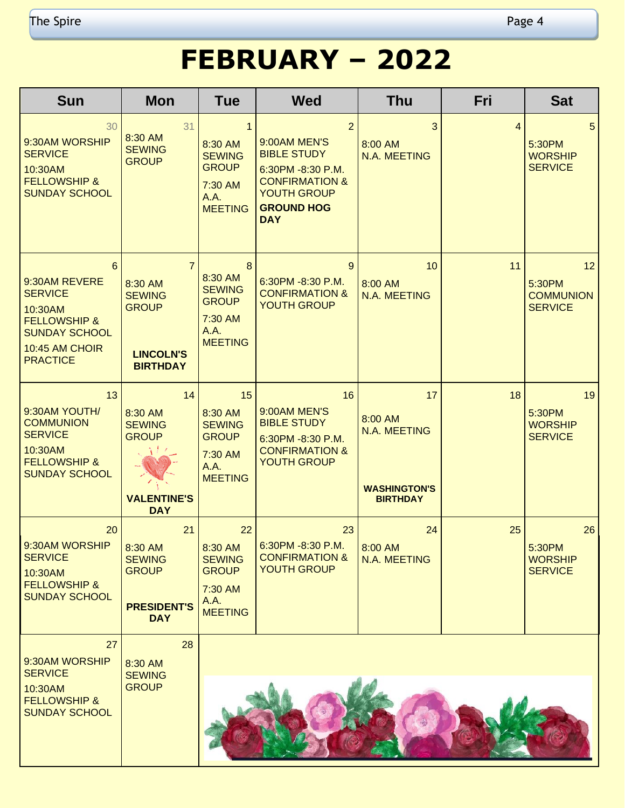## **FEBRUARY – 2022**

| <b>Sun</b>                                                                                                                              | <b>Mon</b>                                                                                        | <b>Tue</b>                                                                                    | <b>Wed</b>                                                                                                                                         | <b>Thu</b>                                                              | Fri            | <b>Sat</b>                                                      |
|-----------------------------------------------------------------------------------------------------------------------------------------|---------------------------------------------------------------------------------------------------|-----------------------------------------------------------------------------------------------|----------------------------------------------------------------------------------------------------------------------------------------------------|-------------------------------------------------------------------------|----------------|-----------------------------------------------------------------|
| 30<br>9:30AM WORSHIP<br><b>SERVICE</b><br>10:30AM<br><b>FELLOWSHIP &amp;</b><br><b>SUNDAY SCHOOL</b>                                    | 31<br>8:30 AM<br><b>SEWING</b><br><b>GROUP</b>                                                    | $\mathbf{1}$<br>8:30 AM<br><b>SEWING</b><br><b>GROUP</b><br>7:30 AM<br>A.A.<br><b>MEETING</b> | 2<br>9:00AM MEN'S<br><b>BIBLE STUDY</b><br>6:30PM -8:30 P.M.<br><b>CONFIRMATION &amp;</b><br><b>YOUTH GROUP</b><br><b>GROUND HOG</b><br><b>DAY</b> | 3<br>8:00 AM<br>N.A. MEETING                                            | $\overline{4}$ | 5 <sup>5</sup><br>5:30PM<br><b>WORSHIP</b><br><b>SERVICE</b>    |
| 6<br>9:30AM REVERE<br><b>SERVICE</b><br>10:30AM<br><b>FELLOWSHIP &amp;</b><br><b>SUNDAY SCHOOL</b><br>10:45 AM CHOIR<br><b>PRACTICE</b> | $\overline{7}$<br>8:30 AM<br><b>SEWING</b><br><b>GROUP</b><br><b>LINCOLN'S</b><br><b>BIRTHDAY</b> | 8<br>8:30 AM<br><b>SEWING</b><br><b>GROUP</b><br>7:30 AM<br>A.A.<br><b>MEETING</b>            | 9<br>6:30PM -8:30 P.M.<br><b>CONFIRMATION &amp;</b><br><b>YOUTH GROUP</b>                                                                          | 10<br>8:00 AM<br>N.A. MEETING                                           | 11             | 12 <sup>°</sup><br>5:30PM<br><b>COMMUNION</b><br><b>SERVICE</b> |
| 13<br>9:30AM YOUTH/<br><b>COMMUNION</b><br><b>SERVICE</b><br>10:30AM<br><b>FELLOWSHIP &amp;</b><br><b>SUNDAY SCHOOL</b>                 | 14<br>8:30 AM<br><b>SEWING</b><br><b>GROUP</b><br><b>VALENTINE'S</b><br><b>DAY</b>                | 15<br>8:30 AM<br><b>SEWING</b><br><b>GROUP</b><br>7:30 AM<br>A.A.<br><b>MEETING</b>           | 16<br>9:00AM MEN'S<br><b>BIBLE STUDY</b><br>6:30PM -8:30 P.M.<br><b>CONFIRMATION &amp;</b><br><b>YOUTH GROUP</b>                                   | 17<br>8:00 AM<br>N.A. MEETING<br><b>WASHINGTON'S</b><br><b>BIRTHDAY</b> | 18             | 19<br>5:30PM<br><b>WORSHIP</b><br><b>SERVICE</b>                |
| 20<br>9:30AM WORSHIP<br><b>SERVICE</b><br>10:30AM<br><b>FELLOWSHIP &amp;</b><br><b>SUNDAY SCHOOL</b>                                    | 21<br>8:30 AM<br><b>SEWING</b><br><b>GROUP</b><br><b>PRESIDENT'S</b><br><b>DAY</b>                | 22<br>8:30 AM<br><b>SEWING</b><br><b>GROUP</b><br>7:30 AM<br>A.A.<br><b>MEETING</b>           | 23<br>$6:30PM - 8:30 P.M.$<br><b>CONFIRMATION &amp;</b><br><b>YOUTH GROUP</b>                                                                      | 24<br>8:00 AM<br>N.A. MEETING                                           | 25             | 26<br>5:30PM<br><b>WORSHIP</b><br><b>SERVICE</b>                |
| 27<br>9:30AM WORSHIP                                                                                                                    | 28<br>8:30 AM                                                                                     |                                                                                               |                                                                                                                                                    |                                                                         |                |                                                                 |
| <b>SERVICE</b><br>10:30AM<br><b>FELLOWSHIP &amp;</b><br><b>SUNDAY SCHOOL</b>                                                            | <b>SEWING</b><br><b>GROUP</b>                                                                     |                                                                                               |                                                                                                                                                    |                                                                         |                |                                                                 |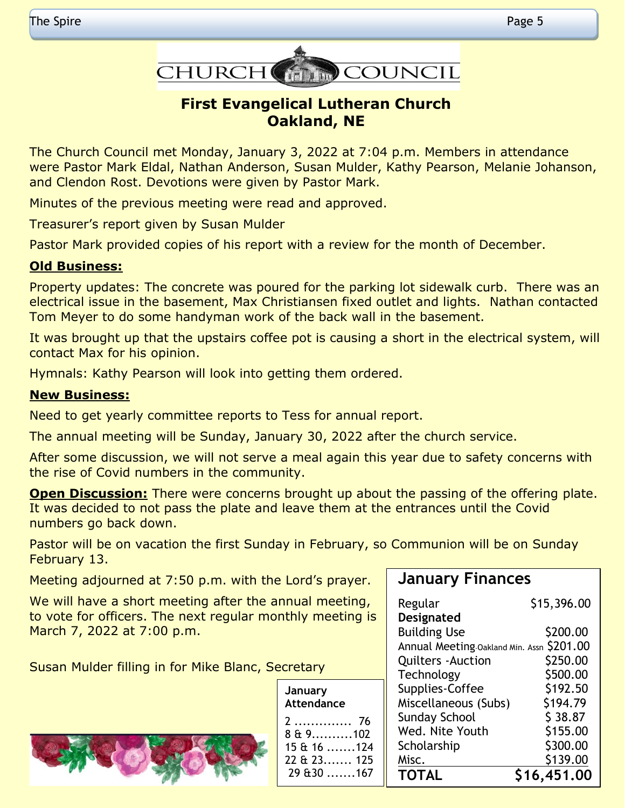

#### **First Evangelical Lutheran Church Oakland, NE**

The Church Council met Monday, January 3, 2022 at 7:04 p.m. Members in attendance were Pastor Mark Eldal, Nathan Anderson, Susan Mulder, Kathy Pearson, Melanie Johanson, and Clendon Rost. Devotions were given by Pastor Mark.

Minutes of the previous meeting were read and approved.

Treasurer's report given by Susan Mulder

Pastor Mark provided copies of his report with a review for the month of December.

#### **Old Business:**

Property updates: The concrete was poured for the parking lot sidewalk curb. There was an electrical issue in the basement, Max Christiansen fixed outlet and lights. Nathan contacted Tom Meyer to do some handyman work of the back wall in the basement.

It was brought up that the upstairs coffee pot is causing a short in the electrical system, will contact Max for his opinion.

Hymnals: Kathy Pearson will look into getting them ordered.

#### **New Business:**

Need to get yearly committee reports to Tess for annual report.

The annual meeting will be Sunday, January 30, 2022 after the church service.

After some discussion, we will not serve a meal again this year due to safety concerns with the rise of Covid numbers in the community.

**Open Discussion:** There were concerns brought up about the passing of the offering plate. It was decided to not pass the plate and leave them at the entrances until the Covid numbers go back down.

Pastor will be on vacation the first Sunday in February, so Communion will be on Sunday February 13.

Meeting adjourned at 7:50 p.m. with the Lord's prayer.

We will have a short meeting after the annual meeting, to vote for officers. The next regular monthly meeting is March 7, 2022 at 7:00 p.m.

Susan Mulder filling in for Mike Blanc, Secretary

## **January Finances**

| Regular                                   | \$15,396.00 |
|-------------------------------------------|-------------|
| Designated                                |             |
| <b>Building Use</b>                       | \$200.00    |
| Annual Meeting Oakland Min. Assn \$201.00 |             |
| <b>Quilters - Auction</b>                 | \$250.00    |
| Technology                                | \$500.00    |
| Supplies-Coffee                           | \$192.50    |
| Miscellaneous (Subs)                      | \$194.79    |
| <b>Sunday School</b>                      | \$38.87     |
| Wed. Nite Youth                           | \$155.00    |
| Scholarship                               | \$300.00    |
| Misc.                                     | \$139.00    |
| <b>TOTAL</b>                              | \$16,451.00 |

| January<br>Attendance                   |     |
|-----------------------------------------|-----|
| 2.<br>$849 \dots 102$                   | -76 |
| $15 \& 16 \dots 124$<br>$22$ & $23$ 125 |     |
| 29.630167                               |     |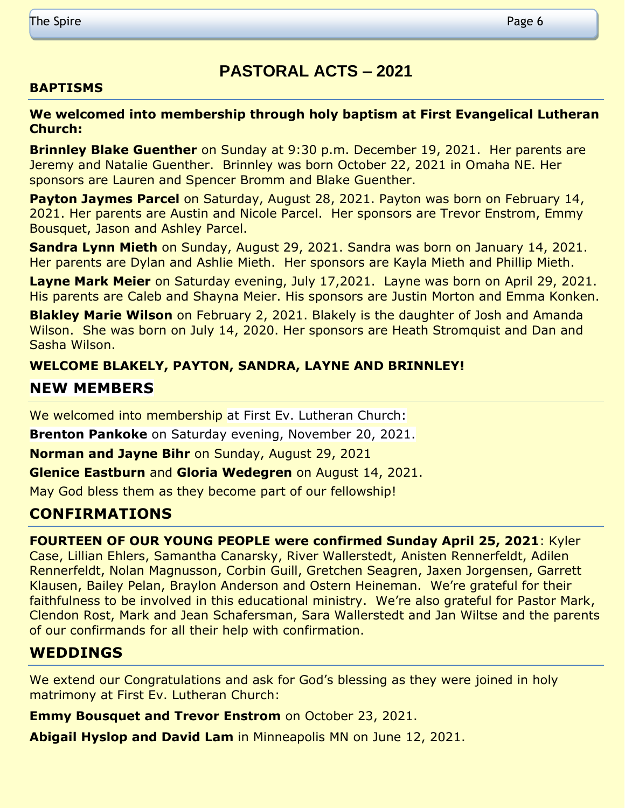## **PASTORAL ACTS – 2021**

#### **BAPTISMS**

#### **We welcomed into membership through holy baptism at First Evangelical Lutheran Church:**

**Brinnley Blake Guenther** on Sunday at 9:30 p.m. December 19, 2021. Her parents are Jeremy and Natalie Guenther. Brinnley was born October 22, 2021 in Omaha NE. Her sponsors are Lauren and Spencer Bromm and Blake Guenther.

**Payton Jaymes Parcel** on Saturday, August 28, 2021. Payton was born on February 14, 2021. Her parents are Austin and Nicole Parcel. Her sponsors are Trevor Enstrom, Emmy Bousquet, Jason and Ashley Parcel.

**Sandra Lynn Mieth** on Sunday, August 29, 2021. Sandra was born on January 14, 2021. Her parents are Dylan and Ashlie Mieth. Her sponsors are Kayla Mieth and Phillip Mieth.

**Layne Mark Meier** on Saturday evening, July 17,2021. Layne was born on April 29, 2021. His parents are Caleb and Shayna Meier. His sponsors are Justin Morton and Emma Konken.

**Blakley Marie Wilson** on February 2, 2021. Blakely is the daughter of Josh and Amanda Wilson. She was born on July 14, 2020. Her sponsors are Heath Stromquist and Dan and Sasha Wilson.

#### **WELCOME BLAKELY, PAYTON, SANDRA, LAYNE AND BRINNLEY!**

#### **NEW MEMBERS**

We welcomed into membership at First Ev. Lutheran Church:

**Brenton Pankoke** on Saturday evening, November 20, 2021.

**Norman and Jayne Bihr** on Sunday, August 29, 2021

**Glenice Eastburn** and **Gloria Wedegren** on August 14, 2021.

May God bless them as they become part of our fellowship!

#### **CONFIRMATIONS**

**FOURTEEN OF OUR YOUNG PEOPLE were confirmed Sunday April 25, 2021**: Kyler Case, Lillian Ehlers, Samantha Canarsky, River Wallerstedt, Anisten Rennerfeldt, Adilen Rennerfeldt, Nolan Magnusson, Corbin Guill, Gretchen Seagren, Jaxen Jorgensen, Garrett Klausen, Bailey Pelan, Braylon Anderson and Ostern Heineman. We're grateful for their faithfulness to be involved in this educational ministry. We're also grateful for Pastor Mark, Clendon Rost, Mark and Jean Schafersman, Sara Wallerstedt and Jan Wiltse and the parents of our confirmands for all their help with confirmation.

#### **WEDDINGS**

We extend our Congratulations and ask for God's blessing as they were joined in holy matrimony at First Ev. Lutheran Church:

**Emmy Bousquet and Trevor Enstrom** on October 23, 2021.

**Abigail Hyslop and David Lam** in Minneapolis MN on June 12, 2021.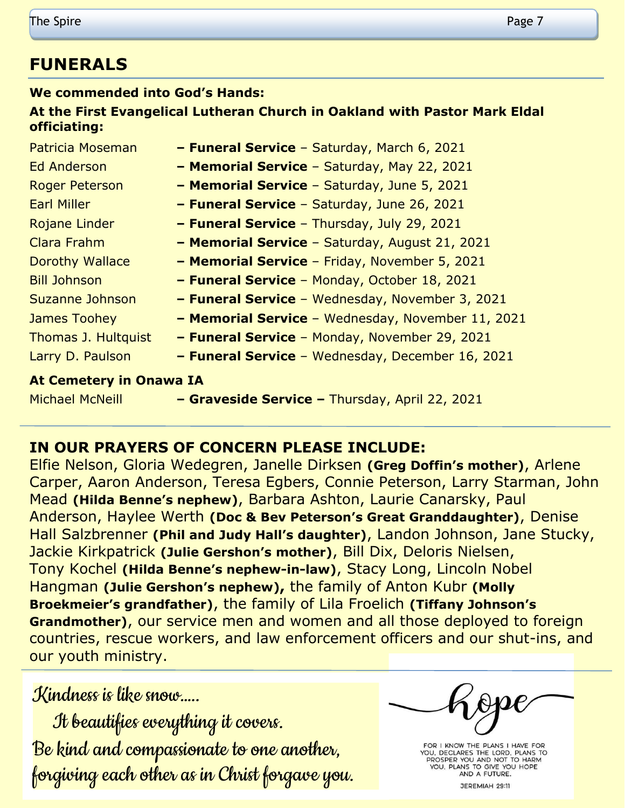## **FUNERALS**

#### **We commended into God's Hands:**

#### **At the First Evangelical Lutheran Church in Oakland with Pastor Mark Eldal officiating:**

| Patricia Moseman               | - Funeral Service - Saturday, March 6, 2021       |
|--------------------------------|---------------------------------------------------|
| Ed Anderson                    | - Memorial Service - Saturday, May 22, 2021       |
| <b>Roger Peterson</b>          | - Memorial Service - Saturday, June 5, 2021       |
| <b>Earl Miller</b>             | - Funeral Service - Saturday, June 26, 2021       |
| Rojane Linder                  | - Funeral Service - Thursday, July 29, 2021       |
| Clara Frahm                    | - Memorial Service - Saturday, August 21, 2021    |
| Dorothy Wallace                | - Memorial Service - Friday, November 5, 2021     |
| <b>Bill Johnson</b>            | - Funeral Service - Monday, October 18, 2021      |
| <b>Suzanne Johnson</b>         | - Funeral Service - Wednesday, November 3, 2021   |
| James Toohey                   | - Memorial Service - Wednesday, November 11, 2021 |
| Thomas J. Hultquist            | - Funeral Service - Monday, November 29, 2021     |
| Larry D. Paulson               | - Funeral Service - Wednesday, December 16, 2021  |
| <b>At Cemetery in Onawa IA</b> |                                                   |
| <b>Michael McNeill</b>         | - Graveside Service - Thursday, April 22, 2021    |

## **IN OUR PRAYERS OF CONCERN PLEASE INCLUDE:**

Elfie Nelson, Gloria Wedegren, Janelle Dirksen **(Greg Doffin's mother)**, Arlene Carper, Aaron Anderson, Teresa Egbers, Connie Peterson, Larry Starman, John Mead **(Hilda Benne's nephew)**, Barbara Ashton, Laurie Canarsky, Paul Anderson, Haylee Werth **(Doc & Bev Peterson's Great Granddaughter)**, Denise Hall Salzbrenner **(Phil and Judy Hall's daughter)**, Landon Johnson, Jane Stucky, Jackie Kirkpatrick **(Julie Gershon's mother)**, Bill Dix, Deloris Nielsen, Tony Kochel **(Hilda Benne's nephew-in-law)**, Stacy Long, Lincoln Nobel Hangman **(Julie Gershon's nephew),** the family of Anton Kubr **(Molly Broekmeier's grandfather)**, the family of Lila Froelich **(Tiffany Johnson's Grandmother)**, our service men and women and all those deployed to foreign countries, rescue workers, and law enforcement officers and our shut-ins, and our youth ministry.

## Kindness is like snow…..

 It beautifies everything it covers. Be kind and compassionate to one another, forgiving each other as in Christ forgave you.

FOR I KNOW THE PLANS I HAVE FOR YOU, DECLARES THE LORD, PLANS TO<br>PROSPER YOU AND NOT TO HARM YOU, PLANS TO GIVE YOU HOPE<br>AND A FUTURE. JEREMIAH 29:11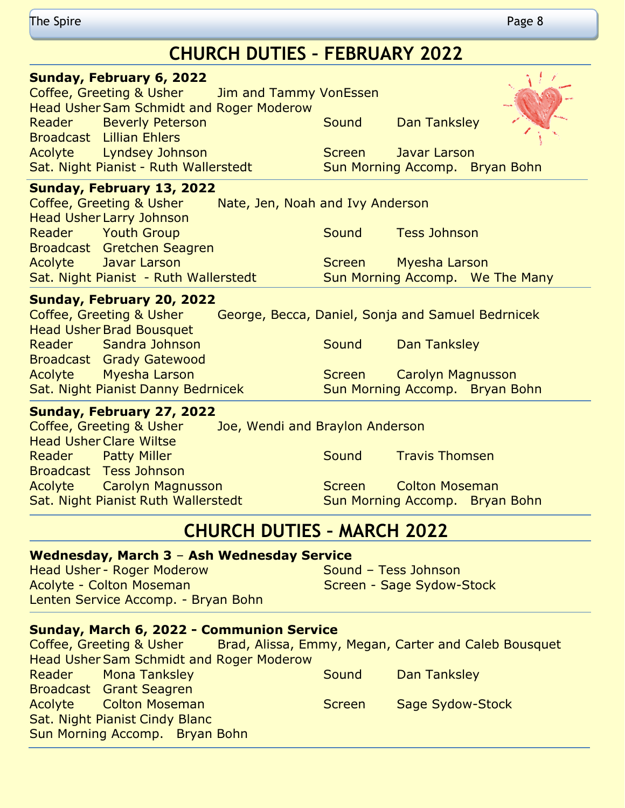| CHUNCH DUTILS - FEDNUANT 2022 |                                                 |  |               |                                |  |   |
|-------------------------------|-------------------------------------------------|--|---------------|--------------------------------|--|---|
|                               | Sunday, February 6, 2022                        |  |               |                                |  |   |
|                               | Coffee, Greeting & Usher Jim and Tammy VonEssen |  |               |                                |  |   |
|                               | <b>Head Usher Sam Schmidt and Roger Moderow</b> |  |               |                                |  |   |
|                               | Reader Beverly Peterson                         |  | Sound         | Dan Tanksley                   |  | 1 |
|                               | <b>Broadcast</b> Lillian Ehlers                 |  |               |                                |  |   |
|                               | Acolyte Lyndsey Johnson                         |  | <b>Screen</b> | Javar Larson                   |  |   |
|                               | Sat. Night Pianist - Ruth Wallerstedt           |  |               | Sun Morning Accomp. Bryan Bohn |  |   |

#### **Sunday, February 13, 2022**

| Coffee, Greeting & Usher              | Nate, Jen, Noah and Ivy Anderson |                                 |
|---------------------------------------|----------------------------------|---------------------------------|
| <b>Head Usher Larry Johnson</b>       |                                  |                                 |
| Reader Youth Group                    | Sound                            | Tess Johnson                    |
| Broadcast Gretchen Seagren            |                                  |                                 |
| Acolyte Javar Larson                  |                                  | Screen Myesha Larson            |
| Sat. Night Pianist - Ruth Wallerstedt |                                  | Sun Morning Accomp. We The Many |
|                                       |                                  |                                 |

#### **Sunday, February 20, 2022**

Coffee, Greeting & Usher George, Becca, Daniel, Sonja and Samuel Bedrnicek Head Usher Brad Bousquet Reader Sandra Johnson Sound Dan Tanksley Broadcast Grady Gatewood Acolyte Myesha Larson National Screen Carolyn Magnusson Sat. Night Pianist Danny Bedrnicek Sun Morning Accomp. Bryan Bohn

#### **Sunday, February 27, 2022**

|                                | Coffee, Greeting & Usher            | Joe, Wendi and Braylon Anderson |                       |                       |                                |
|--------------------------------|-------------------------------------|---------------------------------|-----------------------|-----------------------|--------------------------------|
| <b>Head Usher Clare Wiltse</b> |                                     |                                 |                       |                       |                                |
|                                | Reader Patty Miller                 |                                 | Sound                 | <b>Travis Thomsen</b> |                                |
|                                | <b>Broadcast Tess Johnson</b>       |                                 |                       |                       |                                |
|                                | <b>Acolyte</b> Carolyn Magnusson    |                                 | Screen Colton Moseman |                       |                                |
|                                | Sat. Night Pianist Ruth Wallerstedt |                                 |                       |                       | Sun Morning Accomp. Bryan Bohn |

## **CHURCH DUTIES – MARCH 2022**

#### **Wednesday, March 3** – **Ash Wednesday Service**

Head Usher - Roger Moderow Sound – Tess Johnson Acolyte - Colton Moseman National Screen - Sage Sydow-Stock Lenten Service Accomp. - Bryan Bohn

#### **Sunday, March 6, 2022 - Communion Service**

Coffee, Greeting & Usher Brad, Alissa, Emmy, Megan, Carter and Caleb Bousquet Head Usher Sam Schmidt and Roger Moderow Reader Mona Tanksley North Cound Dan Tanksley Broadcast Grant Seagren Acolyte Colton Moseman Screen Sage Sydow-Stock Sat. Night Pianist Cindy Blanc Sun Morning Accomp. Bryan Bohn

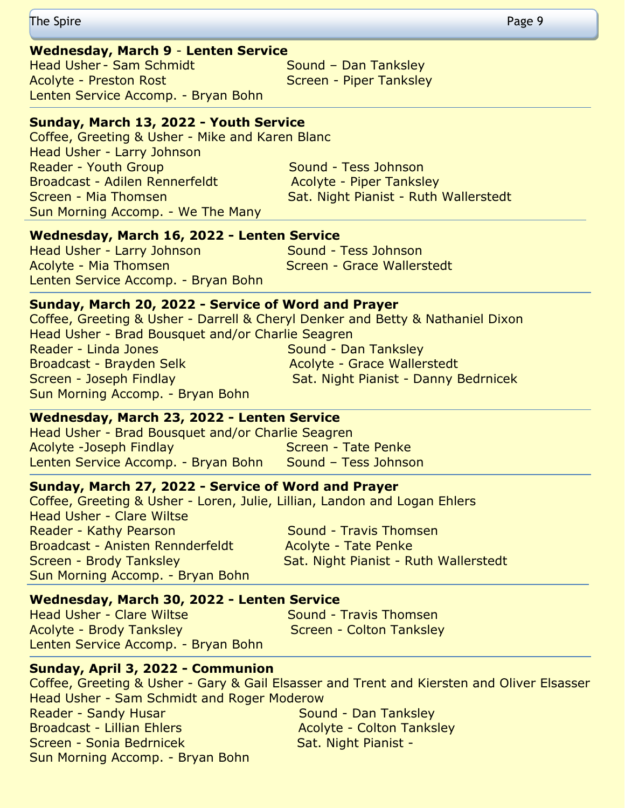The Spire Page 9

#### **Wednesday, March 9** - **Lenten Service**

Head Usher - Sam Schmidt Sound – Dan Tanksley Acolyte - Preston Rost Screen - Piper Tanksley Lenten Service Accomp. - Bryan Bohn

#### **Sunday, March 13, 2022 - Youth Service**

Coffee, Greeting & Usher - Mike and Karen Blanc Head Usher - Larry Johnson Reader - Youth Group Sound - Tess Johnson Broadcast - Adilen Rennerfeldt Macolyte - Piper Tanksley Screen - Mia Thomsen Sat. Night Pianist - Ruth Wallerstedt Sun Morning Accomp. - We The Many

#### **Wednesday, March 16, 2022 - Lenten Service**

Head Usher - Larry Johnson Sound - Tess Johnson Acolyte - Mia Thomsen Screen - Grace Wallerstedt Lenten Service Accomp. - Bryan Bohn

#### **Sunday, March 20, 2022 - Service of Word and Prayer**

Coffee, Greeting & Usher - Darrell & Cheryl Denker and Betty & Nathaniel Dixon Head Usher - Brad Bousquet and/or Charlie Seagren Reader - Linda Jones Sound - Dan Tanksley Broadcast - Brayden Selk Acolyte - Grace Wallerstedt Screen - Joseph Findlay Sat. Night Pianist - Danny Bedrnicek Sun Morning Accomp. - Bryan Bohn

#### **Wednesday, March 23, 2022 - Lenten Service**

Head Usher - Brad Bousquet and/or Charlie Seagren Acolyte -Joseph Findlay Screen - Tate Penke Lenten Service Accomp. - Bryan Bohn Sound - Tess Johnson

#### **Sunday, March 27, 2022 - Service of Word and Prayer**

Coffee, Greeting & Usher - Loren, Julie, Lillian, Landon and Logan Ehlers Head Usher - Clare Wiltse Reader - Kathy Pearson New Sound - Travis Thomsen Broadcast - Anisten Rennderfeldt Macolyte - Tate Penke Screen - Brody Tanksley Sat. Night Pianist - Ruth Wallerstedt Sun Morning Accomp. - Bryan Bohn

#### **Wednesday, March 30, 2022 - Lenten Service**

Head Usher - Clare Wiltse **Sound - Travis Thomsen** Acolyte - Brody Tanksley Manuel Colton Tanksley Lenten Service Accomp. - Bryan Bohn

#### **Sunday, April 3, 2022 - Communion**

Coffee, Greeting & Usher - Gary & Gail Elsasser and Trent and Kiersten and Oliver Elsasser Head Usher - Sam Schmidt and Roger Moderow Reader - Sandy Husar Sound - Dan Tanksley Broadcast - Lillian Ehlers Acolyte - Colton Tanksley Screen - Sonia Bedrnicek Sat. Night Pianist -Sun Morning Accomp. - Bryan Bohn